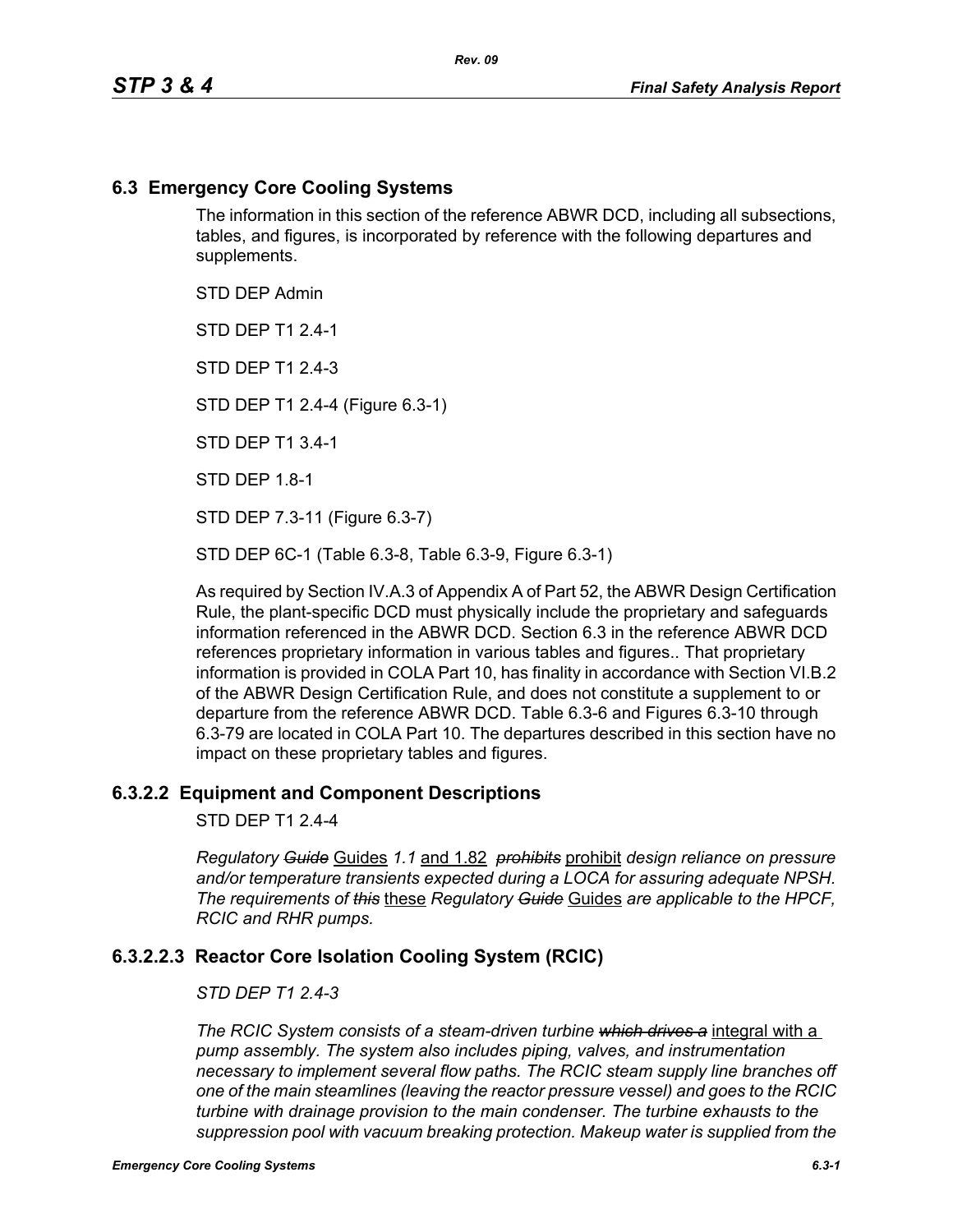### **6.3 Emergency Core Cooling Systems**

The information in this section of the reference ABWR DCD, including all subsections, tables, and figures, is incorporated by reference with the following departures and supplements.

STD DEP Admin

STD DEP T1 2.4-1

STD DFP T1 2 4-3

STD DEP T1 2.4-4 (Figure 6.3-1)

STD DEP T1 3.4-1

STD DEP 1.8-1

STD DEP 7.3-11 (Figure 6.3-7)

STD DEP 6C-1 (Table 6.3-8, Table 6.3-9, Figure 6.3-1)

As required by Section IV.A.3 of Appendix A of Part 52, the ABWR Design Certification Rule, the plant-specific DCD must physically include the proprietary and safeguards information referenced in the ABWR DCD. Section 6.3 in the reference ABWR DCD references proprietary information in various tables and figures.. That proprietary information is provided in COLA Part 10, has finality in accordance with Section VI.B.2 of the ABWR Design Certification Rule, and does not constitute a supplement to or departure from the reference ABWR DCD. Table 6.3-6 and Figures 6.3-10 through 6.3-79 are located in COLA Part 10. The departures described in this section have no impact on these proprietary tables and figures.

#### **6.3.2.2 Equipment and Component Descriptions**

STD DEP T1 2.4-4

*Regulatory Guide* Guides *1.1* and 1.82 *prohibits* prohibit *design reliance on pressure and/or temperature transients expected during a LOCA for assuring adequate NPSH. The requirements of this* these *Regulatory Guide* Guides *are applicable to the HPCF, RCIC and RHR pumps.*

## **6.3.2.2.3 Reactor Core Isolation Cooling System (RCIC)**

#### *STD DEP T1 2.4-3*

*The RCIC System consists of a steam-driven turbine which drives a* integral with a *pump assembly. The system also includes piping, valves, and instrumentation necessary to implement several flow paths. The RCIC steam supply line branches off one of the main steamlines (leaving the reactor pressure vessel) and goes to the RCIC turbine with drainage provision to the main condenser. The turbine exhausts to the suppression pool with vacuum breaking protection. Makeup water is supplied from the*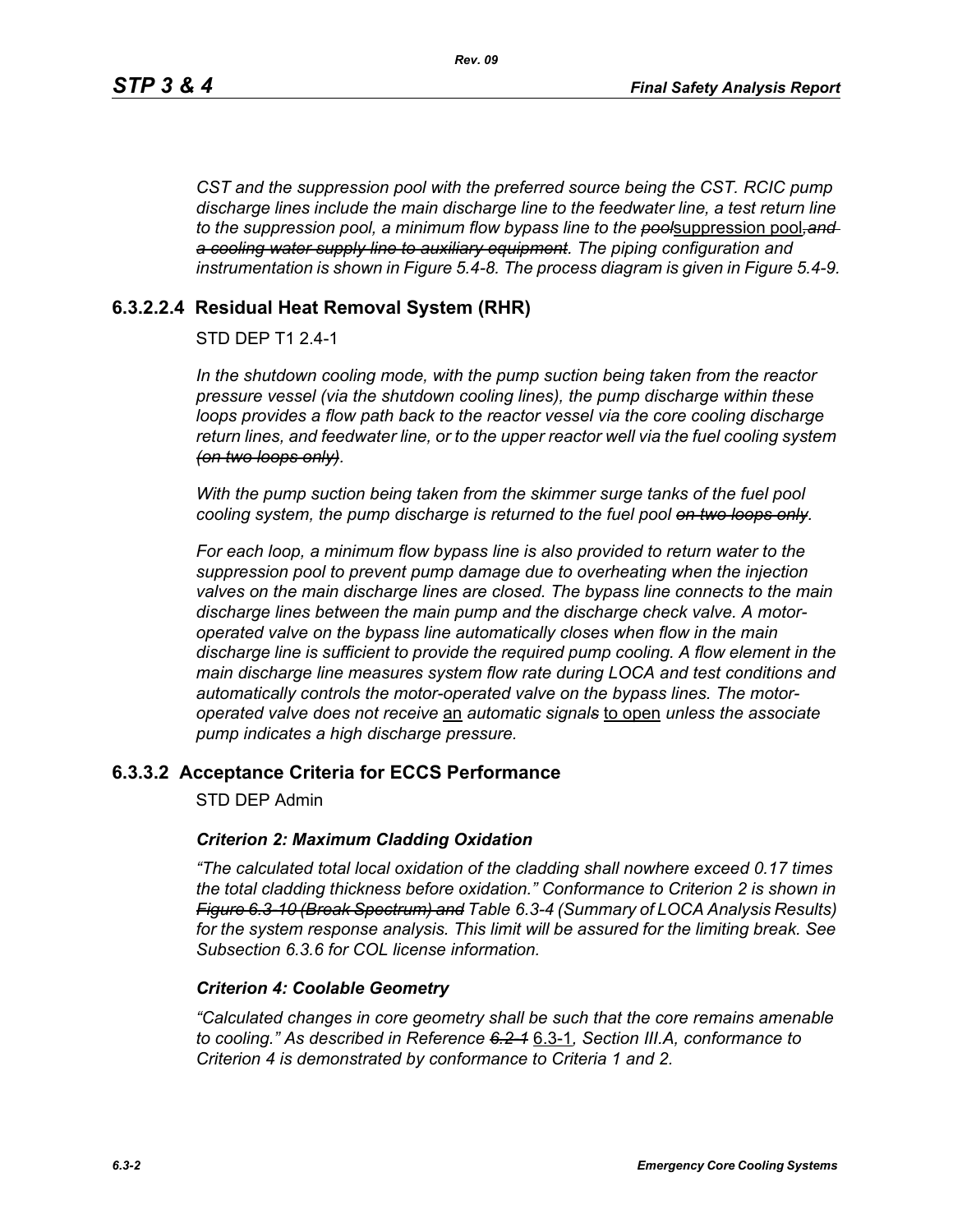*CST and the suppression pool with the preferred source being the CST. RCIC pump discharge lines include the main discharge line to the feedwater line, a test return line to the suppression pool, a minimum flow bypass line to the pool*suppression pool*,and a cooling water supply line to auxiliary equipment. The piping configuration and instrumentation is shown in Figure 5.4-8. The process diagram is given in Figure 5.4-9.*

## **6.3.2.2.4 Residual Heat Removal System (RHR)**

## STD DEP T1 2.4-1

*In the shutdown cooling mode, with the pump suction being taken from the reactor pressure vessel (via the shutdown cooling lines), the pump discharge within these loops provides a flow path back to the reactor vessel via the core cooling discharge return lines, and feedwater line, or to the upper reactor well via the fuel cooling system (on two loops only).*

*With the pump suction being taken from the skimmer surge tanks of the fuel pool cooling system, the pump discharge is returned to the fuel pool on two loops only.*

*For each loop, a minimum flow bypass line is also provided to return water to the suppression pool to prevent pump damage due to overheating when the injection valves on the main discharge lines are closed. The bypass line connects to the main discharge lines between the main pump and the discharge check valve. A motoroperated valve on the bypass line automatically closes when flow in the main discharge line is sufficient to provide the required pump cooling. A flow element in the main discharge line measures system flow rate during LOCA and test conditions and automatically controls the motor-operated valve on the bypass lines. The motoroperated valve does not receive* an *automatic signals* to open *unless the associate pump indicates a high discharge pressure.*

## **6.3.3.2 Acceptance Criteria for ECCS Performance**

STD DEP Admin

#### *Criterion 2: Maximum Cladding Oxidation*

*"The calculated total local oxidation of the cladding shall nowhere exceed 0.17 times the total cladding thickness before oxidation." Conformance to Criterion 2 is shown in Figure 6.3-10 (Break Spectrum) and Table 6.3-4 (Summary of LOCA Analysis Results) for the system response analysis. This limit will be assured for the limiting break. See Subsection [6.3.6](#page-2-0) for COL license information.*

#### *Criterion 4: Coolable Geometry*

*"Calculated changes in core geometry shall be such that the core remains amenable to cooling." As described in Reference 6.2-1* 6.3-1*, Section III.A, conformance to Criterion 4 is demonstrated by conformance to Criteria 1 and 2.*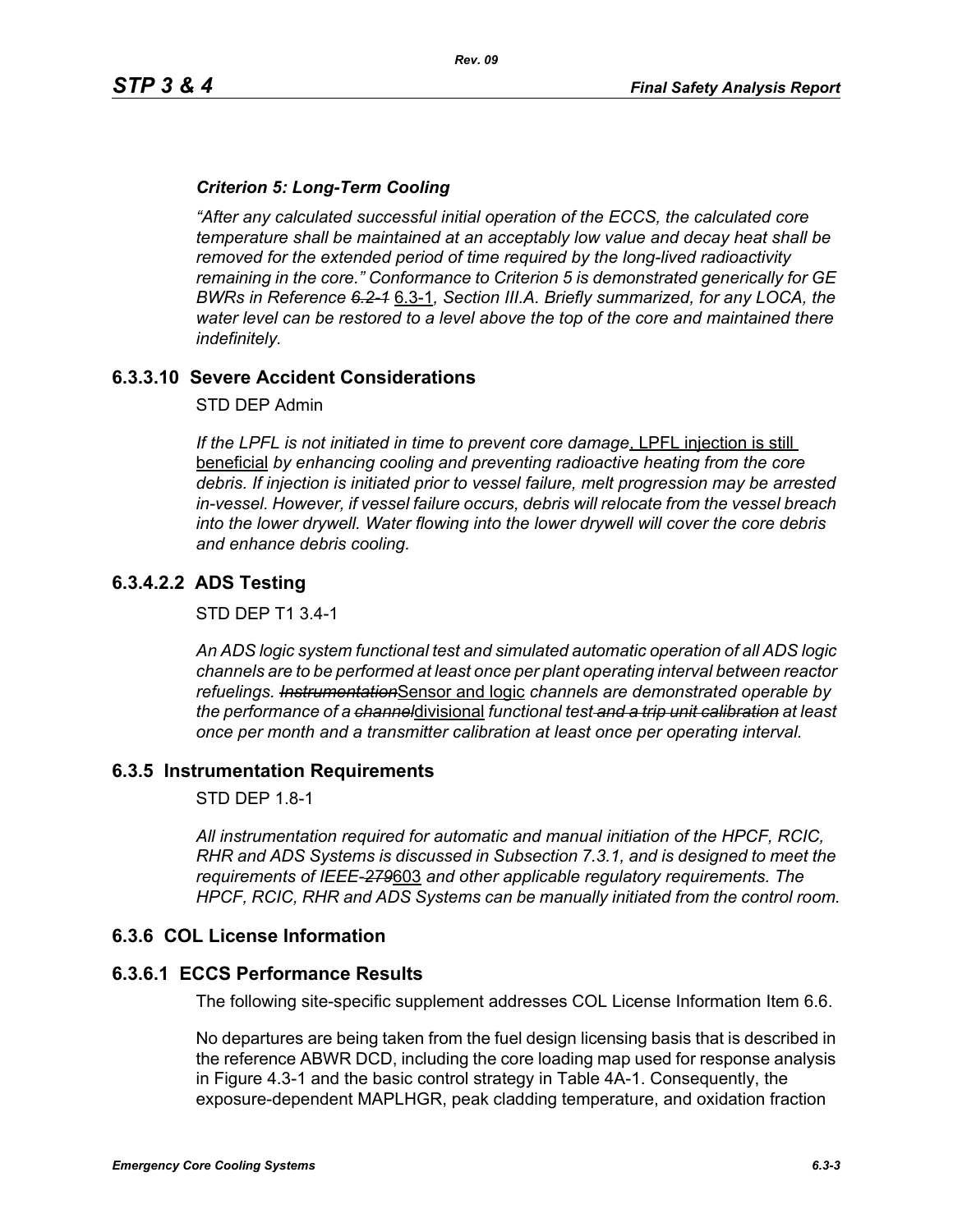### *Criterion 5: Long-Term Cooling*

*"After any calculated successful initial operation of the ECCS, the calculated core temperature shall be maintained at an acceptably low value and decay heat shall be removed for the extended period of time required by the long-lived radioactivity remaining in the core." Conformance to Criterion 5 is demonstrated generically for GE BWRs in Reference 6.2-1* 6.3-1*, Section III.A. Briefly summarized, for any LOCA, the water level can be restored to a level above the top of the core and maintained there indefinitely.*

## **6.3.3.10 Severe Accident Considerations**

STD DEP Admin

*If the LPFL is not initiated in time to prevent core damage*, LPFL injection is still beneficial *by enhancing cooling and preventing radioactive heating from the core debris. If injection is initiated prior to vessel failure, melt progression may be arrested in-vessel. However, if vessel failure occurs, debris will relocate from the vessel breach into the lower drywell. Water flowing into the lower drywell will cover the core debris and enhance debris cooling.*

## **6.3.4.2.2 ADS Testing**

STD DEP T1 3.4-1

*An ADS logic system functional test and simulated automatic operation of all ADS logic channels are to be performed at least once per plant operating interval between reactor refuelings. Instrumentation*Sensor and logic *channels are demonstrated operable by the performance of a channel*divisional *functional test and a trip unit calibration at least once per month and a transmitter calibration at least once per operating interval.*

#### **6.3.5 Instrumentation Requirements**

STD DEP 1.8-1

*All instrumentation required for automatic and manual initiation of the HPCF, RCIC, RHR and ADS Systems is discussed in Subsection 7.3.1, and is designed to meet the requirements of IEEE-279*603 *and other applicable regulatory requirements. The HPCF, RCIC, RHR and ADS Systems can be manually initiated from the control room.*

#### <span id="page-2-0"></span>**6.3.6 COL License Information**

#### **6.3.6.1 ECCS Performance Results**

The following site-specific supplement addresses COL License Information Item 6.6.

No departures are being taken from the fuel design licensing basis that is described in the reference ABWR DCD, including the core loading map used for response analysis in Figure 4.3-1 and the basic control strategy in Table 4A-1. Consequently, the exposure-dependent MAPLHGR, peak cladding temperature, and oxidation fraction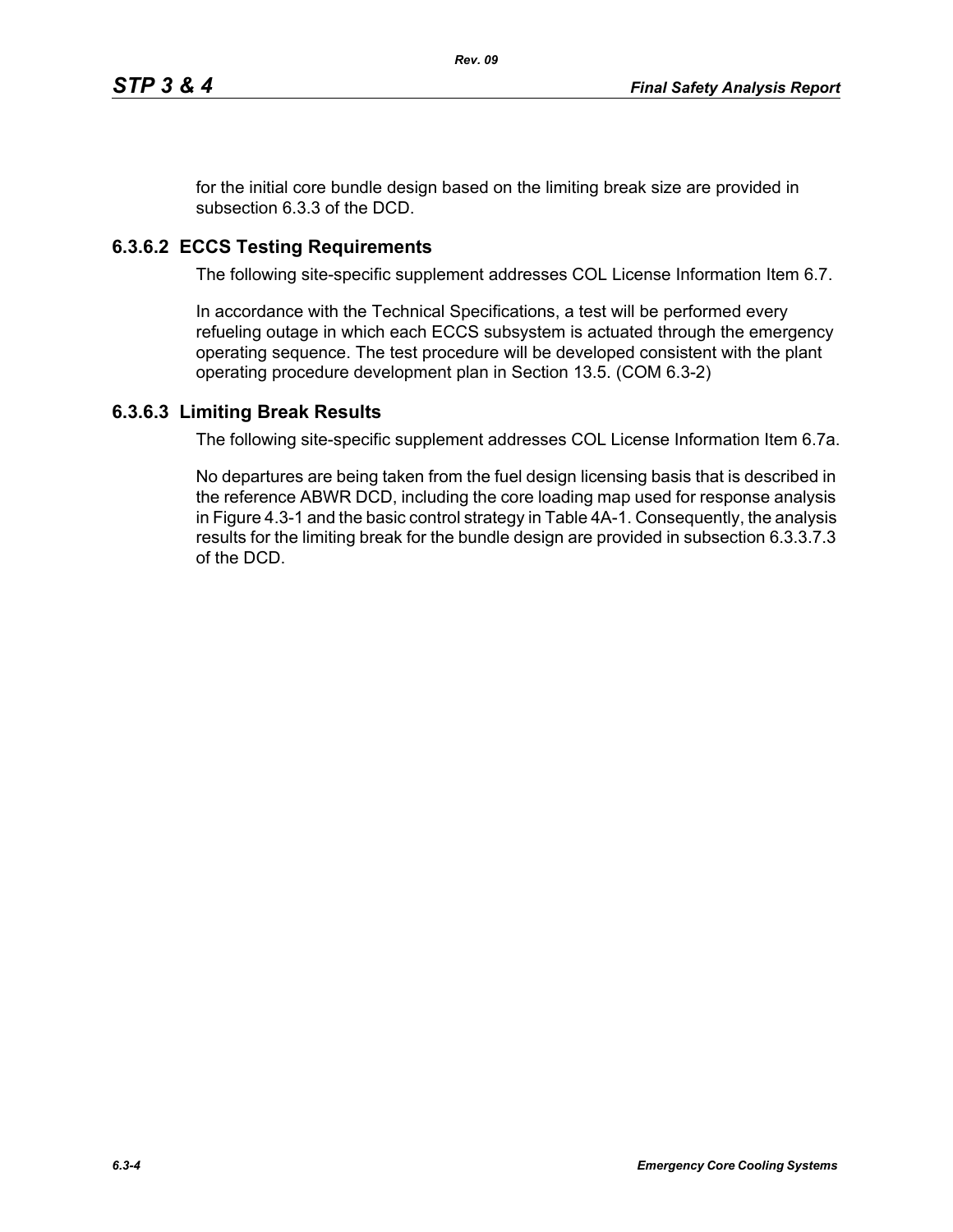for the initial core bundle design based on the limiting break size are provided in subsection 6.3.3 of the DCD.

# **6.3.6.2 ECCS Testing Requirements**

The following site-specific supplement addresses COL License Information Item 6.7.

In accordance with the Technical Specifications, a test will be performed every refueling outage in which each ECCS subsystem is actuated through the emergency operating sequence. The test procedure will be developed consistent with the plant operating procedure development plan in Section 13.5. (COM 6.3-2)

## **6.3.6.3 Limiting Break Results**

The following site-specific supplement addresses COL License Information Item 6.7a.

No departures are being taken from the fuel design licensing basis that is described in the reference ABWR DCD, including the core loading map used for response analysis in Figure 4.3-1 and the basic control strategy in Table 4A-1. Consequently, the analysis results for the limiting break for the bundle design are provided in subsection 6.3.3.7.3 of the DCD.